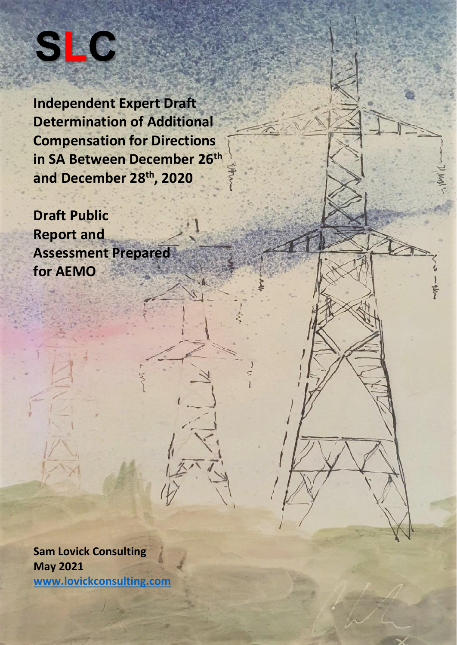

**Independent Expert Draft Determination of Additional Compensation for Directions in SA Between December 26 th and December 28th, 2020**

**Draft Public Report and Assessment Prepared for AEMO**

**Sam Lovick Consulting May 2021 [www.lovickconsulting.com](http://www.lovickconsulting.com/)**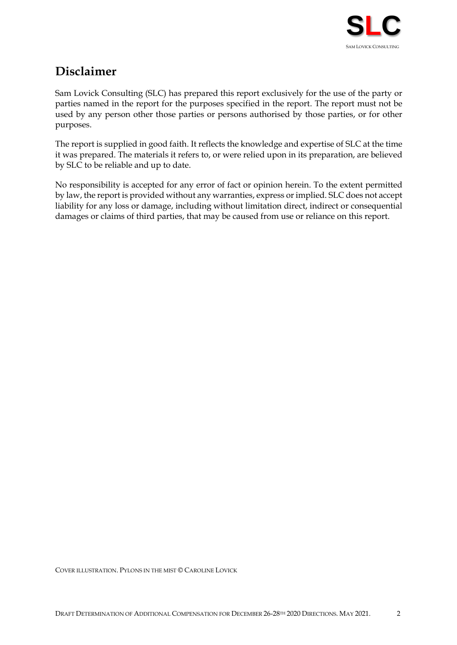

# **Disclaimer**

Sam Lovick Consulting (SLC) has prepared this report exclusively for the use of the party or parties named in the report for the purposes specified in the report. The report must not be used by any person other those parties or persons authorised by those parties, or for other purposes.

The report is supplied in good faith. It reflects the knowledge and expertise of SLC at the time it was prepared. The materials it refers to, or were relied upon in its preparation, are believed by SLC to be reliable and up to date.

No responsibility is accepted for any error of fact or opinion herein. To the extent permitted by law, the report is provided without any warranties, express or implied. SLC does not accept liability for any loss or damage, including without limitation direct, indirect or consequential damages or claims of third parties, that may be caused from use or reliance on this report.

COVER ILLUSTRATION. PYLONS IN THE MIST © CAROLINE LOVICK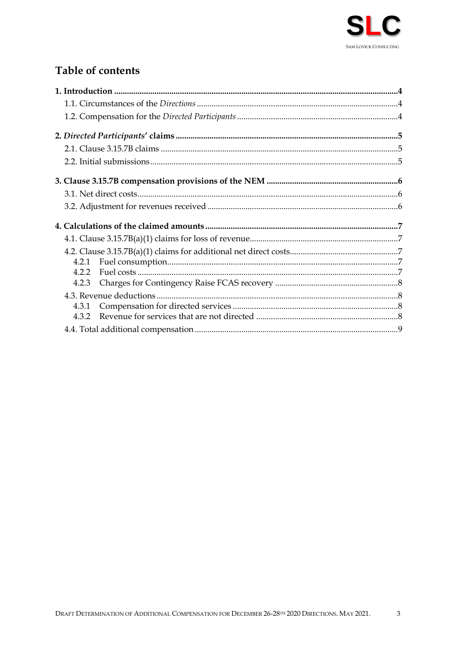

# Table of contents

| 4.2.3 |  |  |
|-------|--|--|
|       |  |  |
|       |  |  |
|       |  |  |
|       |  |  |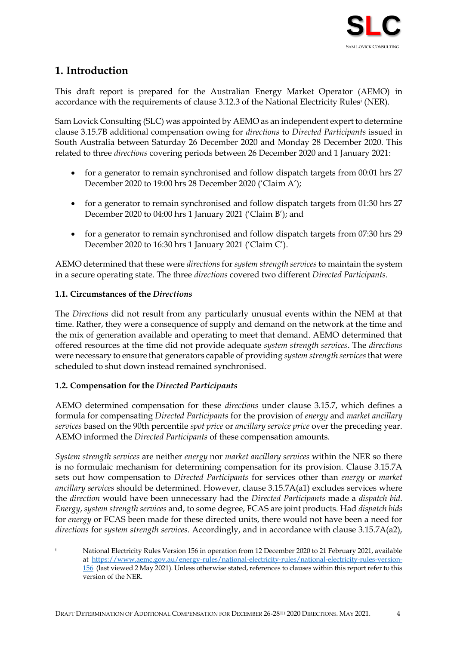

# <span id="page-3-0"></span>**1. Introduction**

This draft report is prepared for the Australian Energy Market Operator (AEMO) in accordance with the requirements of clause 3.12.3 of the National Electricity Rules<sup>i</sup> (NER).

Sam Lovick Consulting (SLC) was appointed by AEMO as an independent expert to determine clause 3.15.7B additional compensation owing for *directions* to *Directed Participants* issued in South Australia between Saturday 26 December 2020 and Monday 28 December 2020. This related to three *directions* covering periods between 26 December 2020 and 1 January 2021:

- for a generator to remain synchronised and follow dispatch targets from 00:01 hrs 27 December 2020 to 19:00 hrs 28 December 2020 ('Claim A');
- for a generator to remain synchronised and follow dispatch targets from 01:30 hrs 27 December 2020 to 04:00 hrs 1 January 2021 ('Claim B'); and
- for a generator to remain synchronised and follow dispatch targets from 07:30 hrs 29 December 2020 to 16:30 hrs 1 January 2021 ('Claim C').

AEMO determined that these were *directions* for *system strength services* to maintain the system in a secure operating state. The three *directions* covered two different *Directed Participants*.

# <span id="page-3-1"></span>**1.1. Circumstances of the** *Directions*

The *Directions* did not result from any particularly unusual events within the NEM at that time. Rather, they were a consequence of supply and demand on the network at the time and the mix of generation available and operating to meet that demand. AEMO determined that offered resources at the time did not provide adequate *system strength services*. The *directions* were necessary to ensure that generators capable of providing *system strength services* that were scheduled to shut down instead remained synchronised.

# <span id="page-3-2"></span>**1.2. Compensation for the** *Directed Participants*

AEMO determined compensation for these *directions* under clause 3.15.7, which defines a formula for compensating *Directed Participants* for the provision of *energy* and *market ancillary services* based on the 90th percentile *spot price* or *ancillary service price* over the preceding year. AEMO informed the *Directed Participants* of these compensation amounts.

*System strength services* are neither *energy* nor *market ancillary services* within the NER so there is no formulaic mechanism for determining compensation for its provision. Clause 3.15.7A sets out how compensation to *Directed Participants* for services other than *energy* or *market ancillary services* should be determined. However, clause 3.15.7A(a1) excludes services where the *direction* would have been unnecessary had the *Directed Participants* made a *dispatch bid*. *Energy*, *system strength services* and, to some degree, FCAS are joint products. Had *dispatch bids* for *energy* or FCAS been made for these directed units, there would not have been a need for *directions* for *system strength services*. Accordingly, and in accordance with clause 3.15.7A(a2),

National Electricity Rules Version 156 in operation from 12 December 2020 to 21 February 2021, available at [https://www.aemc.gov.au/energy-rules/national-electricity-rules/national-electricity-rules-version-](https://www.aemc.gov.au/energy-rules/national-electricity-rules/national-electricity-rules-version-156)[156](https://www.aemc.gov.au/energy-rules/national-electricity-rules/national-electricity-rules-version-156) (last viewed 2 May 2021). Unless otherwise stated, references to clauses within this report refer to this version of the NER.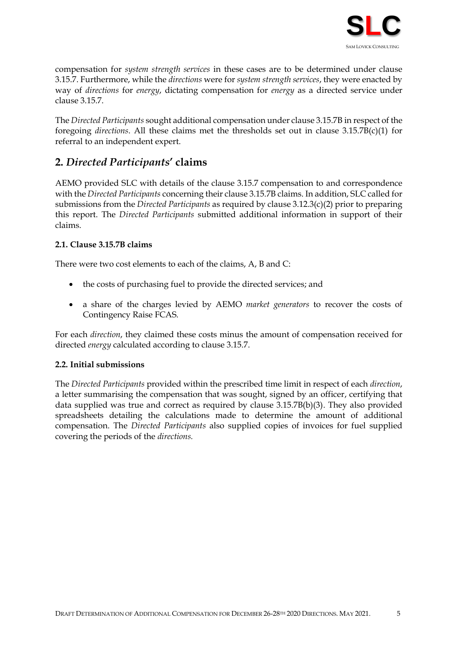

compensation for *system strength services* in these cases are to be determined under clause 3.15.7. Furthermore, while the *directions* were for *system strength services*, they were enacted by way of *directions* for *energy*, dictating compensation for *energy* as a directed service under clause 3.15.7.

The *Directed Participants* sought additional compensation under clause 3.15.7B in respect of the foregoing *directions*. All these claims met the thresholds set out in clause 3.15.7B(c)(1) for referral to an independent expert.

# <span id="page-4-0"></span>**2.** *Directed Participants***' claims**

AEMO provided SLC with details of the clause 3.15.7 compensation to and correspondence with the *Directed Participants* concerning their clause 3.15.7B claims. In addition, SLC called for submissions from the *Directed Participants* as required by clause 3.12.3(c)(2) prior to preparing this report. The *Directed Participants* submitted additional information in support of their claims.

### <span id="page-4-1"></span>**2.1. Clause 3.15.7B claims**

There were two cost elements to each of the claims, A, B and C:

- the costs of purchasing fuel to provide the directed services; and
- a share of the charges levied by AEMO *market generators* to recover the costs of Contingency Raise FCAS.

For each *direction*, they claimed these costs minus the amount of compensation received for directed *energy* calculated according to clause 3.15.7.

#### <span id="page-4-2"></span>**2.2. Initial submissions**

The *Directed Participants* provided within the prescribed time limit in respect of each *direction*, a letter summarising the compensation that was sought, signed by an officer, certifying that data supplied was true and correct as required by clause 3.15.7B(b)(3). They also provided spreadsheets detailing the calculations made to determine the amount of additional compensation. The *Directed Participants* also supplied copies of invoices for fuel supplied covering the periods of the *directions.*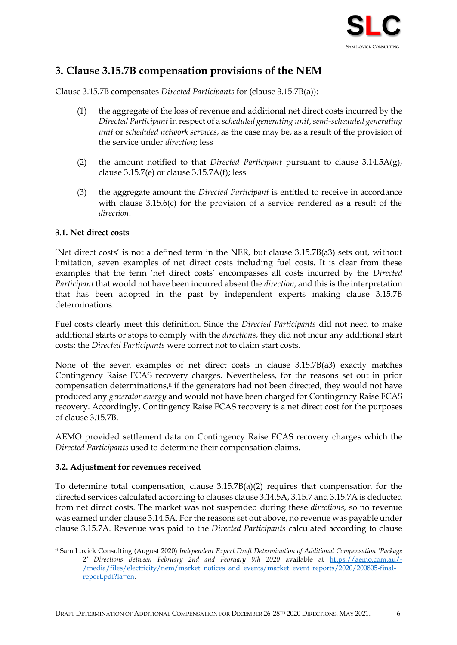

# <span id="page-5-0"></span>**3. Clause 3.15.7B compensation provisions of the NEM**

Clause 3.15.7B compensates *Directed Participants* for (clause 3.15.7B(a)):

- (1) the aggregate of the loss of revenue and additional net direct costs incurred by the *Directed Participant* in respect of a *scheduled generating unit*, *semi-scheduled generating unit* or *scheduled network services*, as the case may be, as a result of the provision of the service under *direction*; less
- (2) the amount notified to that *Directed Participant* pursuant to clause 3.14.5A(g), clause  $3.15.7$ (e) or clause  $3.15.7$ A(f); less
- (3) the aggregate amount the *Directed Participant* is entitled to receive in accordance with clause 3.15.6(c) for the provision of a service rendered as a result of the *direction*.

#### <span id="page-5-1"></span>**3.1. Net direct costs**

'Net direct costs' is not a defined term in the NER, but clause 3.15.7B(a3) sets out, without limitation, seven examples of net direct costs including fuel costs. It is clear from these examples that the term 'net direct costs' encompasses all costs incurred by the *Directed Participant* that would not have been incurred absent the *direction*, and this is the interpretation that has been adopted in the past by independent experts making clause 3.15.7B determinations.

Fuel costs clearly meet this definition. Since the *Directed Participants* did not need to make additional starts or stops to comply with the *directions*, they did not incur any additional start costs; the *Directed Participants* were correct not to claim start costs.

None of the seven examples of net direct costs in clause 3.15.7B(a3) exactly matches Contingency Raise FCAS recovery charges. Nevertheless, for the reasons set out in prior compensation determinations,<sup>ii</sup> if the generators had not been directed, they would not have produced any *generator energy* and would not have been charged for Contingency Raise FCAS recovery. Accordingly, Contingency Raise FCAS recovery is a net direct cost for the purposes of clause 3.15.7B.

AEMO provided settlement data on Contingency Raise FCAS recovery charges which the *Directed Participants* used to determine their compensation claims.

#### <span id="page-5-2"></span>**3.2. Adjustment for revenues received**

To determine total compensation, clause 3.15.7B(a)(2) requires that compensation for the directed services calculated according to clauses clause 3.14.5A, 3.15.7 and 3.15.7A is deducted from net direct costs. The market was not suspended during these *directions,* so no revenue was earned under clause 3.14.5A. For the reasons set out above, no revenue was payable under clause 3.15.7A. Revenue was paid to the *Directed Participants* calculated according to clause

ii Sam Lovick Consulting (August 2020) *Independent Expert Draft Determination of Additional Compensation 'Package 2' Directions Between February 2nd and February 9th 2020* available at [https://aemo.com.au/-](https://aemo.com.au/-/media/files/electricity/nem/market_notices_and_events/market_event_reports/2020/200805-final-report.pdf?la=en) [/media/files/electricity/nem/market\\_notices\\_and\\_events/market\\_event\\_reports/2020/200805-final](https://aemo.com.au/-/media/files/electricity/nem/market_notices_and_events/market_event_reports/2020/200805-final-report.pdf?la=en)[report.pdf?la=en.](https://aemo.com.au/-/media/files/electricity/nem/market_notices_and_events/market_event_reports/2020/200805-final-report.pdf?la=en)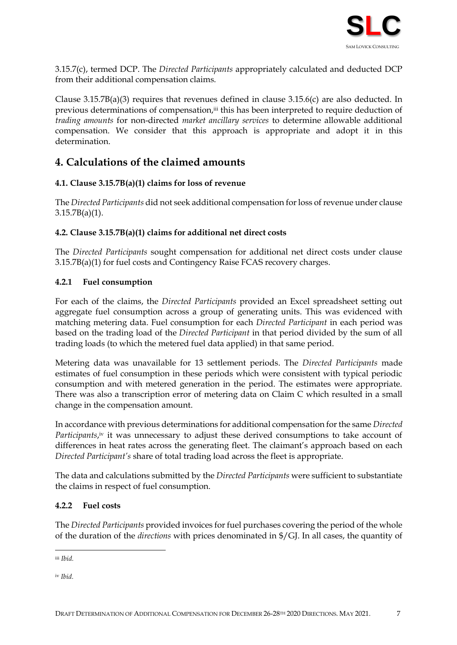

3.15.7(c), termed DCP. The *Directed Participants* appropriately calculated and deducted DCP from their additional compensation claims.

Clause 3.15.7B(a)(3) requires that revenues defined in clause 3.15.6(c) are also deducted. In previous determinations of compensation,<sup>iii</sup> this has been interpreted to require deduction of *trading amounts* for non-directed *market ancillary services* to determine allowable additional compensation. We consider that this approach is appropriate and adopt it in this determination.

# <span id="page-6-0"></span>**4. Calculations of the claimed amounts**

# <span id="page-6-1"></span>**4.1. Clause 3.15.7B(a)(1) claims for loss of revenue**

The *Directed Participants* did not seek additional compensation for loss of revenue under clause 3.15.7B(a)(1).

# <span id="page-6-2"></span>**4.2. Clause 3.15.7B(a)(1) claims for additional net direct costs**

The *Directed Participants* sought compensation for additional net direct costs under clause 3.15.7B(a)(1) for fuel costs and Contingency Raise FCAS recovery charges.

### <span id="page-6-3"></span>**4.2.1 Fuel consumption**

For each of the claims, the *Directed Participants* provided an Excel spreadsheet setting out aggregate fuel consumption across a group of generating units. This was evidenced with matching metering data. Fuel consumption for each *Directed Participant* in each period was based on the trading load of the *Directed Participant* in that period divided by the sum of all trading loads (to which the metered fuel data applied) in that same period.

Metering data was unavailable for 13 settlement periods. The *Directed Participants* made estimates of fuel consumption in these periods which were consistent with typical periodic consumption and with metered generation in the period. The estimates were appropriate. There was also a transcription error of metering data on Claim C which resulted in a small change in the compensation amount.

In accordance with previous determinations for additional compensation for the same *Directed*  Participants,<sup>iv</sup> it was unnecessary to adjust these derived consumptions to take account of differences in heat rates across the generating fleet. The claimant's approach based on each *Directed Participant's* share of total trading load across the fleet is appropriate.

The data and calculations submitted by the *Directed Participants* were sufficient to substantiate the claims in respect of fuel consumption.

# <span id="page-6-4"></span>**4.2.2 Fuel costs**

The *Directed Participants* provided invoices for fuel purchases covering the period of the whole of the duration of the *directions* with prices denominated in \$/GJ. In all cases, the quantity of

iv *Ibid.*

iii *Ibid.*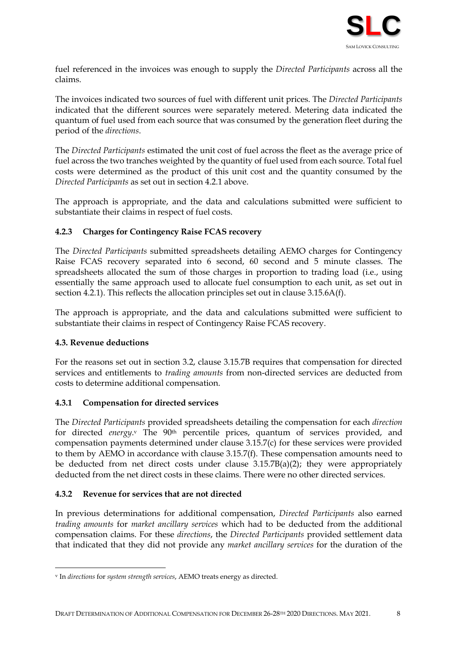

fuel referenced in the invoices was enough to supply the *Directed Participants* across all the claims.

The invoices indicated two sources of fuel with different unit prices. The *Directed Participants*  indicated that the different sources were separately metered. Metering data indicated the quantum of fuel used from each source that was consumed by the generation fleet during the period of the *directions*.

The *Directed Participants* estimated the unit cost of fuel across the fleet as the average price of fuel across the two tranches weighted by the quantity of fuel used from each source. Total fuel costs were determined as the product of this unit cost and the quantity consumed by the *Directed Participants* as set out in section [4.2.1](#page-6-3) above.

The approach is appropriate, and the data and calculations submitted were sufficient to substantiate their claims in respect of fuel costs.

# <span id="page-7-0"></span>**4.2.3 Charges for Contingency Raise FCAS recovery**

The *Directed Participants* submitted spreadsheets detailing AEMO charges for Contingency Raise FCAS recovery separated into 6 second, 60 second and 5 minute classes. The spreadsheets allocated the sum of those charges in proportion to trading load (i.e., using essentially the same approach used to allocate fuel consumption to each unit, as set out in section [4.2.1\)](#page-6-3). This reflects the allocation principles set out in clause 3.15.6A(f).

The approach is appropriate, and the data and calculations submitted were sufficient to substantiate their claims in respect of Contingency Raise FCAS recovery.

# <span id="page-7-1"></span>**4.3. Revenue deductions**

For the reasons set out in section [3.2,](#page-5-2) clause 3.15.7B requires that compensation for directed services and entitlements to *trading amounts* from non-directed services are deducted from costs to determine additional compensation.

# <span id="page-7-2"></span>**4.3.1 Compensation for directed services**

The *Directed Participants* provided spreadsheets detailing the compensation for each *direction* for directed *energy*.<sup>v</sup> The 90<sup>th</sup> percentile prices, quantum of services provided, and compensation payments determined under clause 3.15.7(c) for these services were provided to them by AEMO in accordance with clause 3.15.7(f). These compensation amounts need to be deducted from net direct costs under clause  $3.15.7B(a)(2)$ ; they were appropriately deducted from the net direct costs in these claims. There were no other directed services.

# <span id="page-7-3"></span>**4.3.2 Revenue for services that are not directed**

In previous determinations for additional compensation, *Directed Participants* also earned *trading amounts* for *market ancillary services* which had to be deducted from the additional compensation claims. For these *directions*, the *Directed Participants* provided settlement data that indicated that they did not provide any *market ancillary services* for the duration of the

<sup>v</sup> In *directions* for *system strength services*, AEMO treats energy as directed.